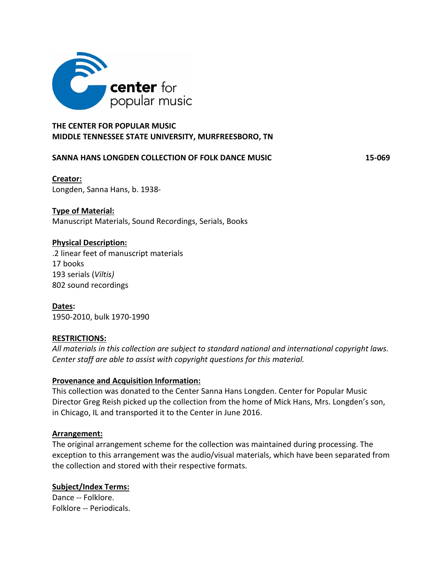

# **THE CENTER FOR POPULAR MUSIC MIDDLE TENNESSEE STATE UNIVERSITY, MURFREESBORO, TN**

#### **SANNA HANS LONGDEN COLLECTION OF FOLK DANCE MUSIC 15-069**

# **Creator:**

Longden, Sanna Hans, b. 1938-

# **Type of Material:**

Manuscript Materials, Sound Recordings, Serials, Books

### **Physical Description:**

.2 linear feet of manuscript materials 17 books 193 serials (*Viltis)* 802 sound recordings

**Dates:**  1950-2010, bulk 1970-1990

#### **RESTRICTIONS:**

*All materials in this collection are subject to standard national and international copyright laws. Center staff are able to assist with copyright questions for this material.*

# **Provenance and Acquisition Information:**

This collection was donated to the Center Sanna Hans Longden. Center for Popular Music Director Greg Reish picked up the collection from the home of Mick Hans, Mrs. Longden's son, in Chicago, IL and transported it to the Center in June 2016.

#### **Arrangement:**

The original arrangement scheme for the collection was maintained during processing. The exception to this arrangement was the audio/visual materials, which have been separated from the collection and stored with their respective formats.

# **Subject/Index Terms:**

Dance -- Folklore. Folklore -- Periodicals.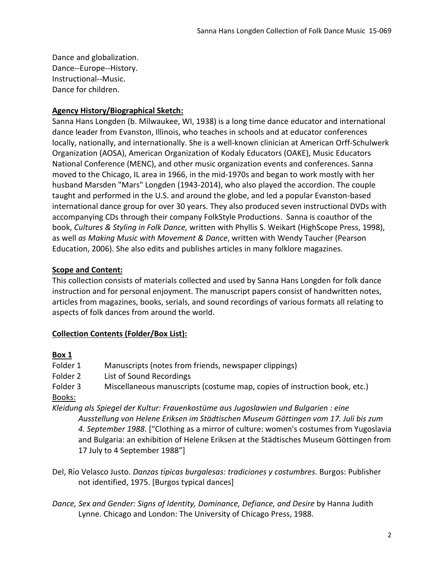Dance and globalization. Dance--Europe--History. Instructional--Music. Dance for children.

#### **Agency History/Biographical Sketch:**

Sanna Hans Longden (b. Milwaukee, WI, 1938) is a long time dance educator and international dance leader from Evanston, Illinois, who teaches in schools and at educator conferences locally, nationally, and internationally. She is a well-known clinician at American Orff-Schulwerk Organization (AOSA), American Organization of Kodaly Educators (OAKE), Music Educators National Conference (MENC), and other music organization events and conferences. Sanna moved to the Chicago, IL area in 1966, in the mid-1970s and began to work mostly with her husband Marsden "Mars" Longden (1943-2014), who also played the accordion. The couple taught and performed in the U.S. and around the globe, and led a popular Evanston-based international dance group for over 30 years. They also produced seven instructional DVDs with accompanying CDs through their company FolkStyle Productions. Sanna is coauthor of the book, *Cultures & Styling in Folk Dance,* written with Phyllis S. Weikart (HighScope Press, 1998), as well *as Making Music with Movement & Dance*, written with Wendy Taucher (Pearson Education, 2006). She also edits and publishes articles in many folklore magazines.

### **Scope and Content:**

This collection consists of materials collected and used by Sanna Hans Longden for folk dance instruction and for personal enjoyment. The manuscript papers consist of handwritten notes, articles from magazines, books, serials, and sound recordings of various formats all relating to aspects of folk dances from around the world.

# **Collection Contents (Folder/Box List):**

#### **Box 1**

| Folder 1 | Manuscripts (notes from friends, newspaper clippings)                                  |
|----------|----------------------------------------------------------------------------------------|
| Folder 2 | List of Sound Recordings                                                               |
| Folder 3 | Miscellaneous manuscripts (costume map, copies of instruction book, etc.)              |
| Books:   |                                                                                        |
|          | Kleidung als Spiegel der Kultur: Frauenkostüme aus Jugoslawien und Bulgarien : eine    |
|          | Ausstellung von Helene Eriksen im Städtischen Museum Göttingen vom 17. Juli bis zum    |
|          | 4. September 1988. ["Clothing as a mirror of culture: women's costumes from Yugoslavia |
|          |                                                                                        |

and Bulgaria: an exhibition of Helene Eriksen at the Städtisches Museum Göttingen from 17 July to 4 September 1988"]

- Del, Rıo Velasco Justo. ́ *Danzas tıpicas burgalesas: tradiciones y costumbres ́* . Burgos: Publisher not identified, 1975. [Burgos typical dances]
- *Dance, Sex and Gender: Signs of Identity, Dominance, Defiance, and Desire* by Hanna Judith Lynne. Chicago and London: The University of Chicago Press, 1988.